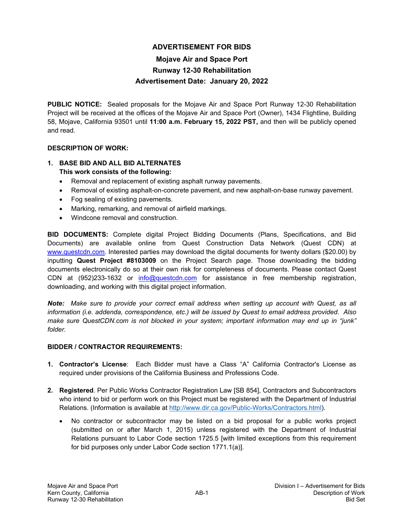# **ADVERTISEMENT FOR BIDS**

# **Mojave Air and Space Port Runway 12-30 Rehabilitation Advertisement Date: January 20, 2022**

**PUBLIC NOTICE:** Sealed proposals for the Mojave Air and Space Port Runway 12-30 Rehabilitation Project will be received at the offices of the Mojave Air and Space Port (Owner), 1434 Flightline, Building 58, Mojave, California 93501 until **11:00 a.m. February 15, 2022 PST,** and then will be publicly opened and read.

### **DESCRIPTION OF WORK:**

### **1. BASE BID AND ALL BID ALTERNATES This work consists of the following:**

- Removal and replacement of existing asphalt runway pavements.
- Removal of existing asphalt-on-concrete pavement, and new asphalt-on-base runway pavement.
- Fog sealing of existing pavements.
- Marking, remarking, and removal of airfield markings.
- Windcone removal and construction.

**BID DOCUMENTS:** Complete digital Project Bidding Documents (Plans, Specifications, and Bid Documents) are available online from Quest Construction Data Network (Quest CDN) at [www.questcdn.com.](http://www.questcdn.com/) Interested parties may download the digital documents for twenty dollars (\$20.00) by inputting **Quest Project #8103009** on the Project Search page. Those downloading the bidding documents electronically do so at their own risk for completeness of documents. Please contact Quest CDN at (952)233-1632 or [info@questcdn.com](mailto:info@questcdn.com) for assistance in free membership registration, downloading, and working with this digital project information.

*Note: Make sure to provide your correct email address when setting up account with Quest, as all information (i.e. addenda, correspondence, etc.) will be issued by Quest to email address provided. Also make sure QuestCDN.com is not blocked in your system; important information may end up in "junk" folder*.

### **BIDDER / CONTRACTOR REQUIREMENTS:**

- **1. Contractor's License**: Each Bidder must have a Class "A" California Contractor's License as required under provisions of the California Business and Professions Code.
- **2. Registered**. Per Public Works Contractor Registration Law [SB 854], Contractors and Subcontractors who intend to bid or perform work on this Project must be registered with the Department of Industrial Relations. (Information is available at [http://www.dir.ca.gov/Public-Works/Contractors.html\)](http://www.dir.ca.gov/Public-Works/Contractors.html).
	- No contractor or subcontractor may be listed on a bid proposal for a public works project (submitted on or after March 1, 2015) unless registered with the Department of Industrial Relations pursuant to Labor Code section 1725.5 [with limited exceptions from this requirement for bid purposes only under Labor Code section 1771.1(a)].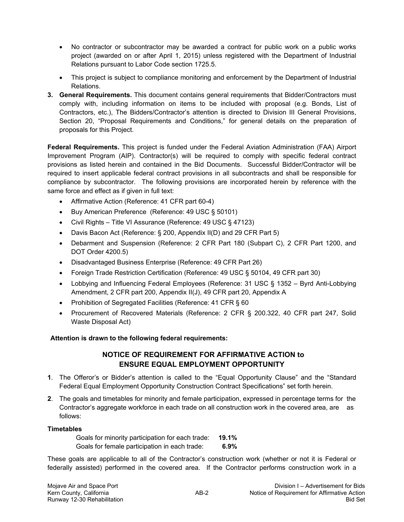- No contractor or subcontractor may be awarded a contract for public work on a public works project (awarded on or after April 1, 2015) unless registered with the Department of Industrial Relations pursuant to Labor Code section 1725.5.
- This project is subject to compliance monitoring and enforcement by the Department of Industrial Relations.
- **3. General Requirements.** This document contains general requirements that Bidder/Contractors must comply with, including information on items to be included with proposal (e.g. Bonds, List of Contractors, etc.), The Bidders/Contractor's attention is directed to Division III General Provisions, Section 20, "Proposal Requirements and Conditions," for general details on the preparation of proposals for this Project.

**Federal Requirements.** This project is funded under the Federal Aviation Administration (FAA) Airport Improvement Program (AIP). Contractor(s) will be required to comply with specific federal contract provisions as listed herein and contained in the Bid Documents. Successful Bidder/Contractor will be required to insert applicable federal contract provisions in all subcontracts and shall be responsible for compliance by subcontractor. The following provisions are incorporated herein by reference with the same force and effect as if given in full text:

- Affirmative Action (Reference: 41 CFR part 60-4)
- Buy American Preference (Reference: 49 USC § 50101)
- Civil Rights Title VI Assurance (Reference: 49 USC § 47123)
- Davis Bacon Act (Reference: § 200, Appendix II(D) and 29 CFR Part 5)
- Debarment and Suspension (Reference: 2 CFR Part 180 (Subpart C), 2 CFR Part 1200, and DOT Order 4200.5)
- Disadvantaged Business Enterprise (Reference: 49 CFR Part 26)
- Foreign Trade Restriction Certification (Reference: 49 USC § 50104, 49 CFR part 30)
- Lobbying and Influencing Federal Employees (Reference: 31 USC § 1352 Byrd Anti-Lobbying Amendment, 2 CFR part 200, Appendix II(J), 49 CFR part 20, Appendix A
- Prohibition of Segregated Facilities (Reference: 41 CFR § 60
- Procurement of Recovered Materials (Reference: 2 CFR § 200.322, 40 CFR part 247, Solid Waste Disposal Act)

# **Attention is drawn to the following federal requirements:**

# **NOTICE OF REQUIREMENT FOR AFFIRMATIVE ACTION to ENSURE EQUAL EMPLOYMENT OPPORTUNITY**

- **1**. The Offeror's or Bidder's attention is called to the "Equal Opportunity Clause" and the "Standard Federal Equal Employment Opportunity Construction Contract Specifications" set forth herein.
- **2**. The goals and timetables for minority and female participation, expressed in percentage terms for the Contractor's aggregate workforce in each trade on all construction work in the covered area, are as follows:

### **Timetables**

Goals for minority participation for each trade: **19.1%** Goals for female participation in each trade: **6.9%**

These goals are applicable to all of the Contractor's construction work (whether or not it is Federal or federally assisted) performed in the covered area. If the Contractor performs construction work in a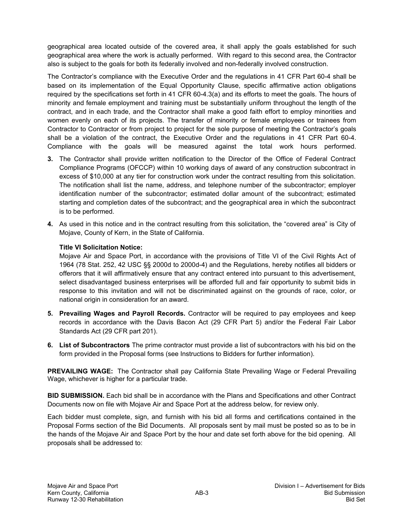geographical area located outside of the covered area, it shall apply the goals established for such geographical area where the work is actually performed. With regard to this second area, the Contractor also is subject to the goals for both its federally involved and non-federally involved construction.

The Contractor's compliance with the Executive Order and the regulations in 41 CFR Part 60-4 shall be based on its implementation of the Equal Opportunity Clause, specific affirmative action obligations required by the specifications set forth in 41 CFR 60-4.3(a) and its efforts to meet the goals. The hours of minority and female employment and training must be substantially uniform throughout the length of the contract, and in each trade, and the Contractor shall make a good faith effort to employ minorities and women evenly on each of its projects. The transfer of minority or female employees or trainees from Contractor to Contractor or from project to project for the sole purpose of meeting the Contractor's goals shall be a violation of the contract, the Executive Order and the regulations in 41 CFR Part 60-4. Compliance with the goals will be measured against the total work hours performed.

- **3.** The Contractor shall provide written notification to the Director of the Office of Federal Contract Compliance Programs (OFCCP) within 10 working days of award of any construction subcontract in excess of \$10,000 at any tier for construction work under the contract resulting from this solicitation. The notification shall list the name, address, and telephone number of the subcontractor; employer identification number of the subcontractor; estimated dollar amount of the subcontract; estimated starting and completion dates of the subcontract; and the geographical area in which the subcontract is to be performed.
- **4.** As used in this notice and in the contract resulting from this solicitation, the "covered area" is City of Mojave, County of Kern, in the State of California.

# **Title VI Solicitation Notice:**

Mojave Air and Space Port, in accordance with the provisions of Title VI of the Civil Rights Act of 1964 (78 Stat. 252, 42 USC §§ 2000d to 2000d-4) and the Regulations, hereby notifies all bidders or offerors that it will affirmatively ensure that any contract entered into pursuant to this advertisement, select disadvantaged business enterprises will be afforded full and fair opportunity to submit bids in response to this invitation and will not be discriminated against on the grounds of race, color, or national origin in consideration for an award.

- **5. Prevailing Wages and Payroll Records.** Contractor will be required to pay employees and keep records in accordance with the Davis Bacon Act (29 CFR Part 5) and/or the Federal Fair Labor Standards Act (29 CFR part 201).
- **6. List of Subcontractors** The prime contractor must provide a list of subcontractors with his bid on the form provided in the Proposal forms (see Instructions to Bidders for further information).

**PREVAILING WAGE:** The Contractor shall pay California State Prevailing Wage or Federal Prevailing Wage, whichever is higher for a particular trade.

**BID SUBMISSION.** Each bid shall be in accordance with the Plans and Specifications and other Contract Documents now on file with Mojave Air and Space Port at the address below, for review only.

Each bidder must complete, sign, and furnish with his bid all forms and certifications contained in the Proposal Forms section of the Bid Documents. All proposals sent by mail must be posted so as to be in the hands of the Mojave Air and Space Port by the hour and date set forth above for the bid opening. All proposals shall be addressed to: